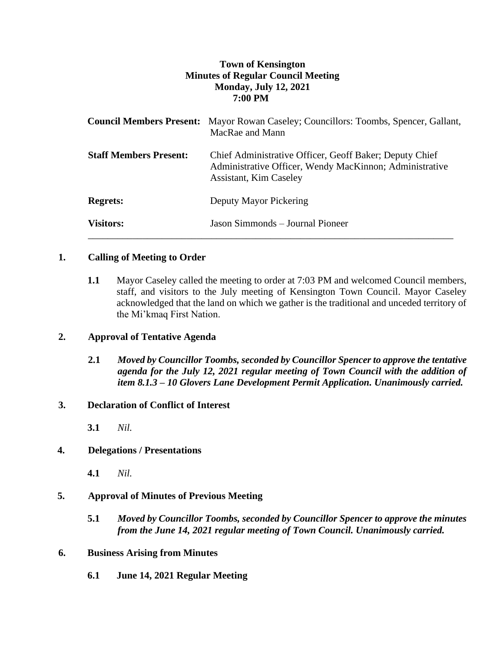# **Town of Kensington Minutes of Regular Council Meeting Monday, July 12, 2021 7:00 PM**

|                               | <b>Council Members Present:</b> Mayor Rowan Caseley; Councillors: Toombs, Spencer, Gallant,<br>MacRae and Mann                                      |
|-------------------------------|-----------------------------------------------------------------------------------------------------------------------------------------------------|
| <b>Staff Members Present:</b> | Chief Administrative Officer, Geoff Baker; Deputy Chief<br>Administrative Officer, Wendy MacKinnon; Administrative<br><b>Assistant, Kim Caseley</b> |
| <b>Regrets:</b>               | Deputy Mayor Pickering                                                                                                                              |
| <b>Visitors:</b>              | Jason Simmonds – Journal Pioneer                                                                                                                    |

## **1. Calling of Meeting to Order**

**1.1** Mayor Caseley called the meeting to order at 7:03 PM and welcomed Council members, staff, and visitors to the July meeting of Kensington Town Council. Mayor Caseley acknowledged that the land on which we gather is the traditional and unceded territory of the Mi'kmaq First Nation.

## **2. Approval of Tentative Agenda**

**2.1** *Moved by Councillor Toombs, seconded by Councillor Spencer to approve the tentative agenda for the July 12, 2021 regular meeting of Town Council with the addition of item 8.1.3 – 10 Glovers Lane Development Permit Application. Unanimously carried.*

## **3. Declaration of Conflict of Interest**

**3.1** *Nil.*

## **4. Delegations / Presentations**

**4.1** *Nil.*

# **5. Approval of Minutes of Previous Meeting**

**5.1** *Moved by Councillor Toombs, seconded by Councillor Spencer to approve the minutes from the June 14, 2021 regular meeting of Town Council. Unanimously carried.*

## **6. Business Arising from Minutes**

**6.1 June 14, 2021 Regular Meeting**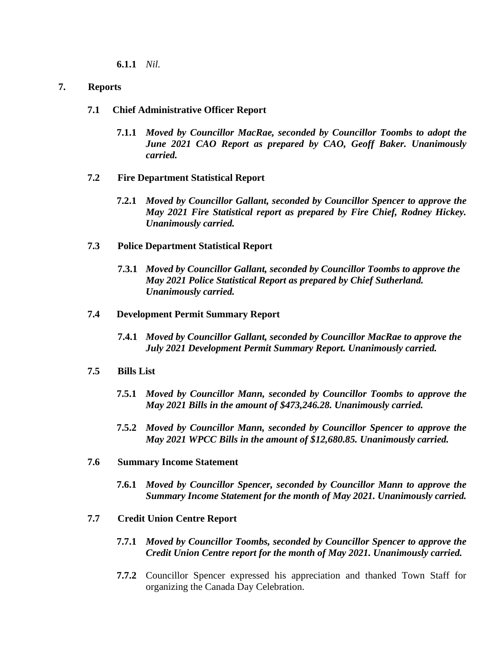**6.1.1** *Nil.*

## **7. Reports**

- **7.1 Chief Administrative Officer Report**
	- **7.1.1** *Moved by Councillor MacRae, seconded by Councillor Toombs to adopt the June 2021 CAO Report as prepared by CAO, Geoff Baker. Unanimously carried.*
- **7.2 Fire Department Statistical Report**
	- **7.2.1** *Moved by Councillor Gallant, seconded by Councillor Spencer to approve the May 2021 Fire Statistical report as prepared by Fire Chief, Rodney Hickey. Unanimously carried.*
- **7.3 Police Department Statistical Report**
	- **7.3.1** *Moved by Councillor Gallant, seconded by Councillor Toombs to approve the May 2021 Police Statistical Report as prepared by Chief Sutherland. Unanimously carried.*

#### **7.4 Development Permit Summary Report**

**7.4.1** *Moved by Councillor Gallant, seconded by Councillor MacRae to approve the July 2021 Development Permit Summary Report. Unanimously carried.*

#### **7.5 Bills List**

- **7.5.1** *Moved by Councillor Mann, seconded by Councillor Toombs to approve the May 2021 Bills in the amount of \$473,246.28. Unanimously carried.*
- **7.5.2** *Moved by Councillor Mann, seconded by Councillor Spencer to approve the May 2021 WPCC Bills in the amount of \$12,680.85. Unanimously carried.*
- **7.6 Summary Income Statement**
	- **7.6.1** *Moved by Councillor Spencer, seconded by Councillor Mann to approve the Summary Income Statement for the month of May 2021. Unanimously carried.*
- **7.7 Credit Union Centre Report**
	- **7.7.1** *Moved by Councillor Toombs, seconded by Councillor Spencer to approve the Credit Union Centre report for the month of May 2021. Unanimously carried.*
	- **7.7.2** Councillor Spencer expressed his appreciation and thanked Town Staff for organizing the Canada Day Celebration.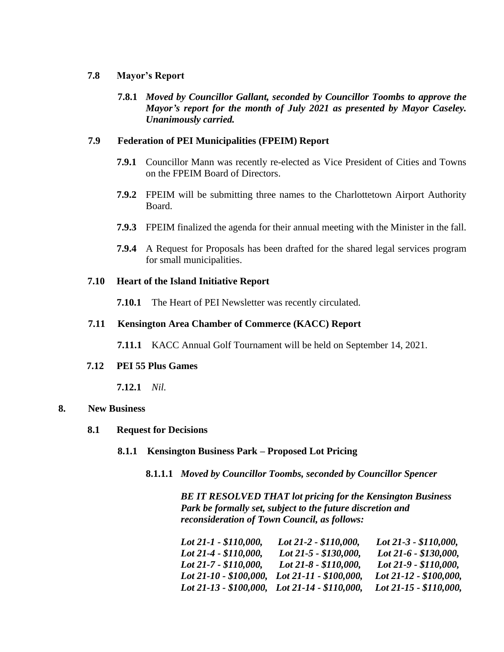#### **7.8 Mayor's Report**

**7.8.1** *Moved by Councillor Gallant, seconded by Councillor Toombs to approve the Mayor's report for the month of July 2021 as presented by Mayor Caseley. Unanimously carried.*

## **7.9 Federation of PEI Municipalities (FPEIM) Report**

- **7.9.1** Councillor Mann was recently re-elected as Vice President of Cities and Towns on the FPEIM Board of Directors.
- **7.9.2** FPEIM will be submitting three names to the Charlottetown Airport Authority Board.
- **7.9.3** FPEIM finalized the agenda for their annual meeting with the Minister in the fall.
- **7.9.4** A Request for Proposals has been drafted for the shared legal services program for small municipalities.

## **7.10 Heart of the Island Initiative Report**

**7.10.1** The Heart of PEI Newsletter was recently circulated.

#### **7.11 Kensington Area Chamber of Commerce (KACC) Report**

**7.11.1** KACC Annual Golf Tournament will be held on September 14, 2021.

#### **7.12 PEI 55 Plus Games**

**7.12.1** *Nil.*

#### **8. New Business**

- **8.1 Request for Decisions**
	- **8.1.1 Kensington Business Park – Proposed Lot Pricing**
		- **8.1.1.1** *Moved by Councillor Toombs, seconded by Councillor Spencer*

*BE IT RESOLVED THAT lot pricing for the Kensington Business Park be formally set, subject to the future discretion and reconsideration of Town Council, as follows:*

| Lot 21-1 - \$110,000,                         | Lot 21-2 - \$110,000,   | Lot $21-3 - $110,000$ , |
|-----------------------------------------------|-------------------------|-------------------------|
| Lot 21-4 - \$110,000,                         | Lot 21-5 - \$130,000,   | Lot 21-6 - \$130,000,   |
| Lot 21-7 - \$110,000,                         | Lot $21-8 - $110,000$ , | Lot 21-9 - \$110,000,   |
| Lot 21-10 - \$100,000,                        | Lot 21-11 - \$100,000,  | Lot 21-12 - \$100,000,  |
| Lot 21-13 - \$100,000, Lot 21-14 - \$110,000, |                         | Lot 21-15 - \$110,000,  |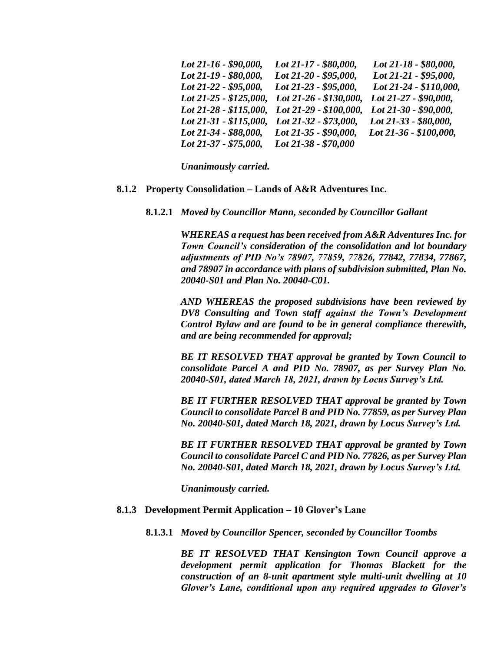| Lot 21-16 - \$90,000,  | Lot 21-17 - \$80,000,  | Lot 21-18 - \$80,000,  |
|------------------------|------------------------|------------------------|
| Lot 21-19 - \$80,000,  | Lot 21-20 - \$95,000,  | Lot 21-21 - \$95,000,  |
| Lot 21-22 - \$95,000,  | Lot 21-23 - \$95,000,  | Lot 21-24 - \$110,000, |
| Lot 21-25 - \$125,000, | Lot 21-26 - \$130,000, | Lot 21-27 - \$90,000,  |
| Lot 21-28 - \$115,000, | Lot 21-29 - \$100,000, | Lot 21-30 - \$90,000,  |
| Lot 21-31 - \$115,000, | Lot 21-32 - \$73,000,  | Lot 21-33 - \$80,000,  |
| Lot 21-34 - \$88,000,  | Lot 21-35 - $$90,000,$ | Lot 21-36 - \$100,000, |
| Lot 21-37 - \$75,000,  | Lot 21-38 - \$70,000   |                        |

*Unanimously carried.* 

#### **8.1.2 Property Consolidation – Lands of A&R Adventures Inc.**

**8.1.2.1** *Moved by Councillor Mann, seconded by Councillor Gallant*

*WHEREAS a request has been received from A&R Adventures Inc. for Town Council's consideration of the consolidation and lot boundary adjustments of PID No's 78907, 77859, 77826, 77842, 77834, 77867, and 78907 in accordance with plans of subdivision submitted, Plan No. 20040-S01 and Plan No. 20040-C01.*

*AND WHEREAS the proposed subdivisions have been reviewed by DV8 Consulting and Town staff against the Town's Development Control Bylaw and are found to be in general compliance therewith, and are being recommended for approval;*

*BE IT RESOLVED THAT approval be granted by Town Council to consolidate Parcel A and PID No. 78907, as per Survey Plan No. 20040-S01, dated March 18, 2021, drawn by Locus Survey's Ltd.*

*BE IT FURTHER RESOLVED THAT approval be granted by Town Council to consolidate Parcel B and PID No. 77859, as per Survey Plan No. 20040-S01, dated March 18, 2021, drawn by Locus Survey's Ltd.*

*BE IT FURTHER RESOLVED THAT approval be granted by Town Council to consolidate Parcel C and PID No. 77826, as per Survey Plan No. 20040-S01, dated March 18, 2021, drawn by Locus Survey's Ltd.*

*Unanimously carried.*

#### **8.1.3 Development Permit Application – 10 Glover's Lane**

**8.1.3.1** *Moved by Councillor Spencer, seconded by Councillor Toombs*

*BE IT RESOLVED THAT Kensington Town Council approve a development permit application for Thomas Blackett for the construction of an 8-unit apartment style multi-unit dwelling at 10 Glover's Lane, conditional upon any required upgrades to Glover's*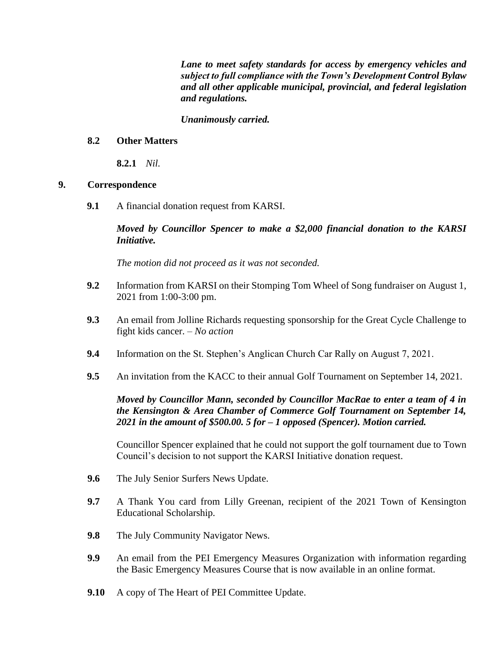*Lane to meet safety standards for access by emergency vehicles and subject to full compliance with the Town's Development Control Bylaw and all other applicable municipal, provincial, and federal legislation and regulations.* 

## *Unanimously carried.*

## **8.2 Other Matters**

**8.2.1** *Nil.*

## **9. Correspondence**

**9.1** A financial donation request from KARSI.

*Moved by Councillor Spencer to make a \$2,000 financial donation to the KARSI Initiative.* 

*The motion did not proceed as it was not seconded.* 

- **9.2** Information from KARSI on their Stomping Tom Wheel of Song fundraiser on August 1, 2021 from 1:00-3:00 pm.
- **9.3** An email from Jolline Richards requesting sponsorship for the Great Cycle Challenge to fight kids cancer. – *No action*
- **9.4** Information on the St. Stephen's Anglican Church Car Rally on August 7, 2021.
- **9.5** An invitation from the KACC to their annual Golf Tournament on September 14, 2021.

*Moved by Councillor Mann, seconded by Councillor MacRae to enter a team of 4 in the Kensington & Area Chamber of Commerce Golf Tournament on September 14, 2021 in the amount of \$500.00. 5 for – 1 opposed (Spencer). Motion carried.* 

Councillor Spencer explained that he could not support the golf tournament due to Town Council's decision to not support the KARSI Initiative donation request.

- **9.6** The July Senior Surfers News Update.
- **9.7** A Thank You card from Lilly Greenan, recipient of the 2021 Town of Kensington Educational Scholarship.
- **9.8** The July Community Navigator News.
- **9.9** An email from the PEI Emergency Measures Organization with information regarding the Basic Emergency Measures Course that is now available in an online format.
- **9.10** A copy of The Heart of PEI Committee Update.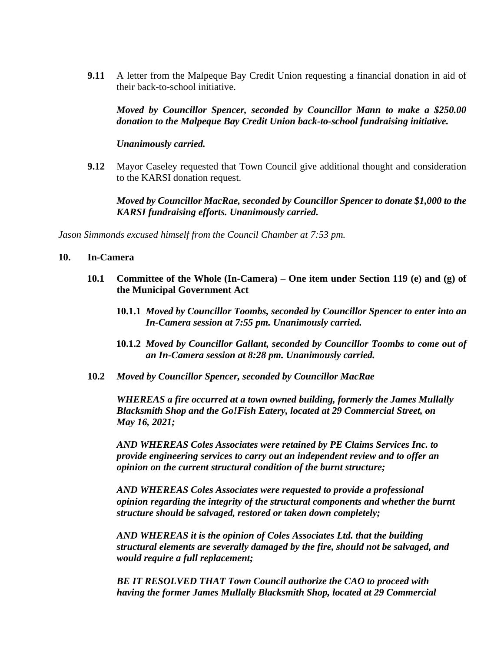**9.11** A letter from the Malpeque Bay Credit Union requesting a financial donation in aid of their back-to-school initiative.

*Moved by Councillor Spencer, seconded by Councillor Mann to make a \$250.00 donation to the Malpeque Bay Credit Union back-to-school fundraising initiative.* 

*Unanimously carried.* 

**9.12** Mayor Caseley requested that Town Council give additional thought and consideration to the KARSI donation request.

*Moved by Councillor MacRae, seconded by Councillor Spencer to donate \$1,000 to the KARSI fundraising efforts. Unanimously carried.* 

*Jason Simmonds excused himself from the Council Chamber at 7:53 pm.*

#### **10. In-Camera**

- **10.1 Committee of the Whole (In-Camera) – One item under Section 119 (e) and (g) of the Municipal Government Act**
	- **10.1.1** *Moved by Councillor Toombs, seconded by Councillor Spencer to enter into an In-Camera session at 7:55 pm. Unanimously carried.*
	- **10.1.2** *Moved by Councillor Gallant, seconded by Councillor Toombs to come out of an In-Camera session at 8:28 pm. Unanimously carried.*
- **10.2** *Moved by Councillor Spencer, seconded by Councillor MacRae*

*WHEREAS a fire occurred at a town owned building, formerly the James Mullally Blacksmith Shop and the Go!Fish Eatery, located at 29 Commercial Street, on May 16, 2021;*

*AND WHEREAS Coles Associates were retained by PE Claims Services Inc. to provide engineering services to carry out an independent review and to offer an opinion on the current structural condition of the burnt structure;*

*AND WHEREAS Coles Associates were requested to provide a professional opinion regarding the integrity of the structural components and whether the burnt structure should be salvaged, restored or taken down completely;*

*AND WHEREAS it is the opinion of Coles Associates Ltd. that the building structural elements are severally damaged by the fire, should not be salvaged, and would require a full replacement;*

*BE IT RESOLVED THAT Town Council authorize the CAO to proceed with having the former James Mullally Blacksmith Shop, located at 29 Commercial*